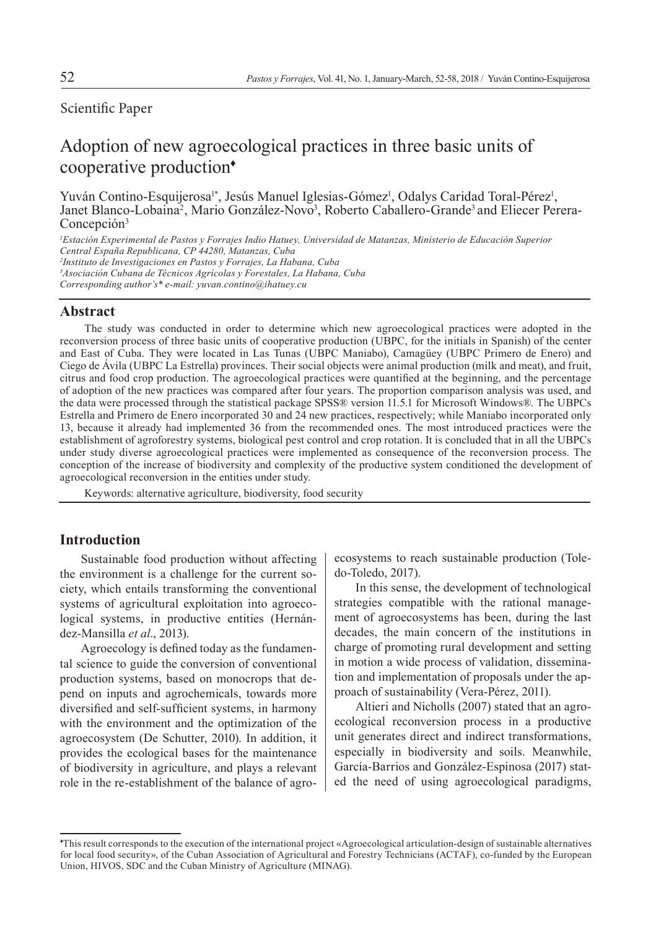# Scientific Paper

# Adoption of new agroecological practices in three basic units of cooperative production<sup>+</sup>

Yuván Contino-Esquijerosa<sup>1\*</sup>, Jesús Manuel Iglesias-Gómez<sup>1</sup>, Odalys Caridad Toral-Pérez<sup>1</sup>, Janet Blanco-Lobaina<sup>2</sup>, Mario González-Novo<sup>3</sup>, Roberto Caballero-Grande<sup>3</sup> and Eliecer Perera-Concepción<sup>3</sup>

*1 Estación Experimental de Pastos y Forrajes Indio Hatuey, Universidad de Matanzas, Ministerio de Educación Superior Central España Republicana, CP 44280, Matanzas, Cuba 2 Instituto de Investigaciones en Pastos y Forrajes, La Habana, Cuba 3 Asociación Cubana de Técnicos Agrícolas y Forestales, La Habana, Cuba Corresponding author's\* e-mail: yuvan.contino@ihatuey.cu*

#### **Abstract**

The study was conducted in order to determine which new agroecological practices were adopted in the reconversion process of three basic units of cooperative production (UBPC, for the initials in Spanish) of the center and East of Cuba. They were located in Las Tunas (UBPC Maniabo), Camagüey (UBPC Primero de Enero) and Ciego de Ávila (UBPC La Estrella) provinces. Their social objects were animal production (milk and meat), and fruit, citrus and food crop production. The agroecological practices were quantified at the beginning, and the percentage of adoption of the new practices was compared after four years. The proportion comparison analysis was used, and the data were processed through the statistical package SPSS® version 11.5.1 for Microsoft Windows®. The UBPCs Estrella and Primero de Enero incorporated 30 and 24 new practices, respectively; while Maniabo incorporated only 13, because it already had implemented 36 from the recommended ones. The most introduced practices were the establishment of agroforestry systems, biological pest control and crop rotation. It is concluded that in all the UBPCs under study diverse agroecological practices were implemented as consequence of the reconversion process. The conception of the increase of biodiversity and complexity of the productive system conditioned the development of agroecological reconversion in the entities under study.

Keywords: alternative agriculture, biodiversity, food security

## **Introduction**

Sustainable food production without affecting the environment is a challenge for the current society, which entails transforming the conventional systems of agricultural exploitation into agroecological systems, in productive entities (Hernández-Mansilla *et al*., 2013).

Agroecology is defined today as the fundamental science to guide the conversion of conventional production systems, based on monocrops that depend on inputs and agrochemicals, towards more diversified and self-sufficient systems, in harmony with the environment and the optimization of the agroecosystem (De Schutter, 2010). In addition, it provides the ecological bases for the maintenance of biodiversity in agriculture, and plays a relevant role in the re-establishment of the balance of agroecosystems to reach sustainable production (Toledo-Toledo, 2017).

In this sense, the development of technological strategies compatible with the rational management of agroecosystems has been, during the last decades, the main concern of the institutions in charge of promoting rural development and setting in motion a wide process of validation, dissemination and implementation of proposals under the approach of sustainability (Vera-Pérez, 2011).

Altieri and Nicholls (2007) stated that an agroecological reconversion process in a productive unit generates direct and indirect transformations, especially in biodiversity and soils. Meanwhile, García-Barrios and González-Espinosa (2017) stated the need of using agroecological paradigms,

<sup>♦</sup> This result corresponds to the execution of the international project «Agroecological articulation-design of sustainable alternatives for local food security», of the Cuban Association of Agricultural and Forestry Technicians (ACTAF), co-funded by the European Union, HIVOS, SDC and the Cuban Ministry of Agriculture (MINAG).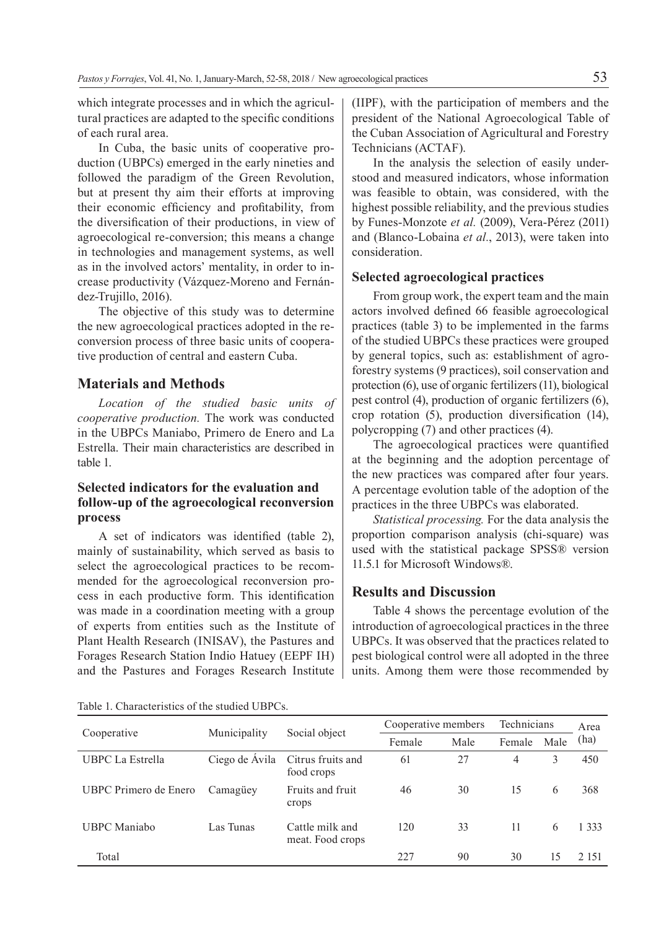which integrate processes and in which the agricultural practices are adapted to the specific conditions of each rural area.

In Cuba, the basic units of cooperative production (UBPCs) emerged in the early nineties and followed the paradigm of the Green Revolution, but at present thy aim their efforts at improving their economic efficiency and profitability, from the diversification of their productions, in view of agroecological re-conversion; this means a change in technologies and management systems, as well as in the involved actors' mentality, in order to increase productivity (Vázquez-Moreno and Fernández-Trujillo, 2016).

The objective of this study was to determine the new agroecological practices adopted in the reconversion process of three basic units of cooperative production of central and eastern Cuba.

#### **Materials and Methods**

*Location of the studied basic units of cooperative production.* The work was conducted in the UBPCs Maniabo, Primero de Enero and La Estrella. Their main characteristics are described in table 1.

## **Selected indicators for the evaluation and follow-up of the agroecological reconversion process**

A set of indicators was identified (table 2), mainly of sustainability, which served as basis to select the agroecological practices to be recommended for the agroecological reconversion process in each productive form. This identification was made in a coordination meeting with a group of experts from entities such as the Institute of Plant Health Research (INISAV), the Pastures and Forages Research Station Indio Hatuey (EEPF IH) and the Pastures and Forages Research Institute

(IIPF), with the participation of members and the president of the National Agroecological Table of the Cuban Association of Agricultural and Forestry Technicians (ACTAF).

In the analysis the selection of easily understood and measured indicators, whose information was feasible to obtain, was considered, with the highest possible reliability, and the previous studies by Funes-Monzote *et al.* (2009), Vera-Pérez (2011) and (Blanco-Lobaina *et al.*, 2013), were taken into consideration.

#### **Selected agroecological practices**

From group work, the expert team and the main actors involved defined 66 feasible agroecological practices (table 3) to be implemented in the farms of the studied UBPCs these practices were grouped by general topics, such as: establishment of agroforestry systems (9 practices), soil conservation and protection (6), use of organic fertilizers (11), biological pest control (4), production of organic fertilizers (6), crop rotation (5), production diversification (14), polycropping (7) and other practices (4).

The agroecological practices were quantified at the beginning and the adoption percentage of the new practices was compared after four years. A percentage evolution table of the adoption of the practices in the three UBPCs was elaborated.

*Statistical processing.* For the data analysis the proportion comparison analysis (chi-square) was used with the statistical package SPSS® version 11.5.1 for Microsoft Windows®.

#### **Results and Discussion**

Table 4 shows the percentage evolution of the introduction of agroecological practices in the three UBPCs. It was observed that the practices related to pest biological control were all adopted in the three units. Among them were those recommended by

Table 1. Characteristics of the studied UBPCs.

|                         |                | Social object                       | Cooperative members | Technicians |        | Area |         |  |
|-------------------------|----------------|-------------------------------------|---------------------|-------------|--------|------|---------|--|
| Cooperative             | Municipality   |                                     | Male<br>Female      |             | Female | Male | (ha)    |  |
| <b>UBPC</b> La Estrella | Ciego de Ávila | Citrus fruits and<br>food crops     | 61                  | 27          | 4      | 3    | 450     |  |
| UBPC Primero de Enero   | Camagüey       | Fruits and fruit<br>crops           | 46                  | 30          | 15     | 6    | 368     |  |
| <b>UBPC</b> Maniabo     | Las Tunas      | Cattle milk and<br>meat. Food crops | 120                 | 33          | 11     | 6    | 1 3 3 3 |  |
| Total                   |                |                                     | 227                 | 90          | 30     | 15   | 2.151   |  |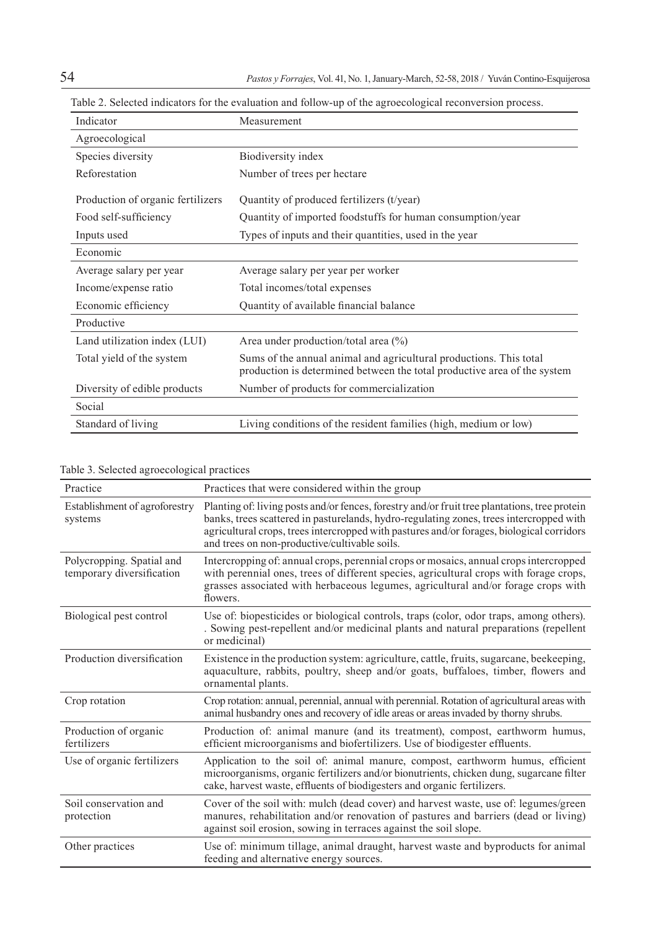| Indicator                         | Measurement                                                                                                                                    |
|-----------------------------------|------------------------------------------------------------------------------------------------------------------------------------------------|
| Agroecological                    |                                                                                                                                                |
| Species diversity                 | Biodiversity index                                                                                                                             |
| Reforestation                     | Number of trees per hectare                                                                                                                    |
| Production of organic fertilizers | Quantity of produced fertilizers (t/year)                                                                                                      |
| Food self-sufficiency             | Quantity of imported foodstuffs for human consumption/year                                                                                     |
| Inputs used                       | Types of inputs and their quantities, used in the year                                                                                         |
| Economic                          |                                                                                                                                                |
| Average salary per year           | Average salary per year per worker                                                                                                             |
| Income/expense ratio              | Total incomes/total expenses                                                                                                                   |
| Economic efficiency               | Quantity of available financial balance                                                                                                        |
| Productive                        |                                                                                                                                                |
| Land utilization index (LUI)      | Area under production/total area $(\% )$                                                                                                       |
| Total yield of the system         | Sums of the annual animal and agricultural productions. This total<br>production is determined between the total productive area of the system |
| Diversity of edible products      | Number of products for commercialization                                                                                                       |
| Social                            |                                                                                                                                                |
| Standard of living                | Living conditions of the resident families (high, medium or low)                                                                               |

| Table 2. Selected indicators for the evaluation and follow-up of the agroecological reconversion process. |  |  |  |  |  |
|-----------------------------------------------------------------------------------------------------------|--|--|--|--|--|

| Table 3. Selected agroecological practices |  |  |  |  |  |
|--------------------------------------------|--|--|--|--|--|
|--------------------------------------------|--|--|--|--|--|

| Practice                                               | Practices that were considered within the group                                                                                                                                                                                                                                                                                        |
|--------------------------------------------------------|----------------------------------------------------------------------------------------------------------------------------------------------------------------------------------------------------------------------------------------------------------------------------------------------------------------------------------------|
| Establishment of agroforestry<br>systems               | Planting of: living posts and/or fences, forestry and/or fruit tree plantations, tree protein<br>banks, trees scattered in pasturelands, hydro-regulating zones, trees intercropped with<br>agricultural crops, trees intercropped with pastures and/or forages, biological corridors<br>and trees on non-productive/cultivable soils. |
| Polycropping. Spatial and<br>temporary diversification | Intercropping of: annual crops, perennial crops or mosaics, annual crops intercropped<br>with perennial ones, trees of different species, agricultural crops with forage crops,<br>grasses associated with herbaceous legumes, agricultural and/or forage crops with<br>flowers.                                                       |
| Biological pest control                                | Use of: biopesticides or biological controls, traps (color, odor traps, among others).<br>. Sowing pest-repellent and/or medicinal plants and natural preparations (repellent<br>or medicinal)                                                                                                                                         |
| Production diversification                             | Existence in the production system: agriculture, cattle, fruits, sugarcane, beekeeping,<br>aquaculture, rabbits, poultry, sheep and/or goats, buffaloes, timber, flowers and<br>ornamental plants.                                                                                                                                     |
| Crop rotation                                          | Crop rotation: annual, perennial, annual with perennial. Rotation of agricultural areas with<br>animal husbandry ones and recovery of idle areas or areas invaded by thorny shrubs.                                                                                                                                                    |
| Production of organic<br>fertilizers                   | Production of: animal manure (and its treatment), compost, earthworm humus,<br>efficient microorganisms and biofertilizers. Use of biodigester effluents.                                                                                                                                                                              |
| Use of organic fertilizers                             | Application to the soil of: animal manure, compost, earthworm humus, efficient<br>microorganisms, organic fertilizers and/or bionutrients, chicken dung, sugarcane filter<br>cake, harvest waste, effluents of biodigesters and organic fertilizers.                                                                                   |
| Soil conservation and<br>protection                    | Cover of the soil with: mulch (dead cover) and harvest waste, use of: legumes/green<br>manures, rehabilitation and/or renovation of pastures and barriers (dead or living)<br>against soil erosion, sowing in terraces against the soil slope.                                                                                         |
| Other practices                                        | Use of: minimum tillage, animal draught, harvest waste and byproducts for animal<br>feeding and alternative energy sources.                                                                                                                                                                                                            |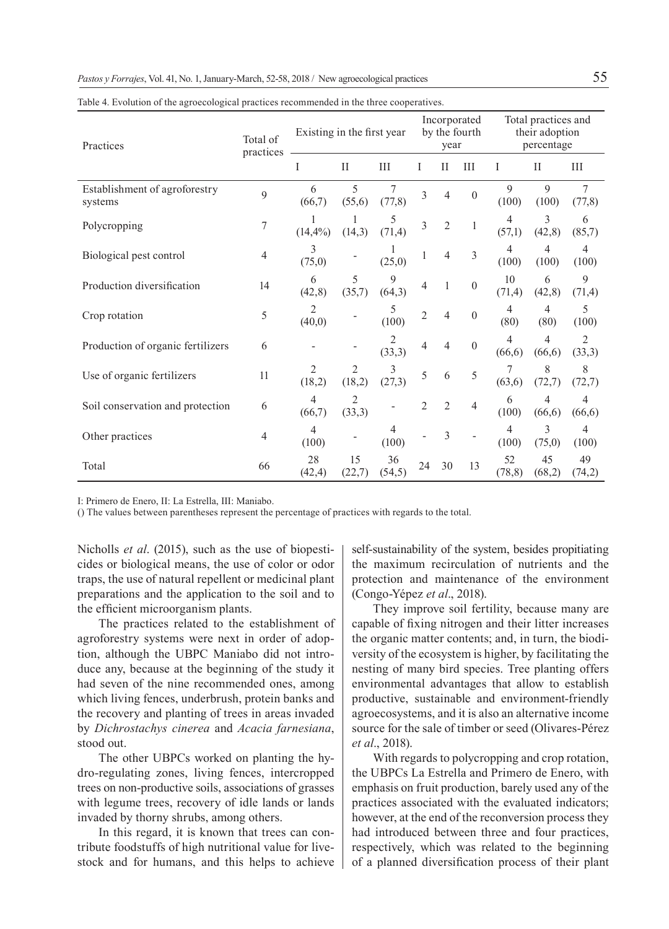| Practices                                | Total of<br>practices | Existing in the first year |              |               | Incorporated<br>by the fourth<br>year |                |                  | Total practices and<br>their adoption<br>percentage |              |                           |
|------------------------------------------|-----------------------|----------------------------|--------------|---------------|---------------------------------------|----------------|------------------|-----------------------------------------------------|--------------|---------------------------|
|                                          |                       | I                          | $\rm II$     | Ш             | I                                     | Н              | Ш                | I                                                   | П            | Ш                         |
| Establishment of agroforestry<br>systems | 9                     | 6<br>(66,7)                | 5<br>(55,6)  | 7<br>(77, 8)  | 3                                     | 4              | $\boldsymbol{0}$ | $\mathbf Q$<br>(100)                                | 9<br>(100)   | $\overline{7}$<br>(77,8)  |
| Polycropping                             | 7                     | $(14, 4\%)$                | (14,3)       | 5<br>(71, 4)  | 3                                     | $\overline{2}$ | 1                | $\overline{4}$<br>(57,1)                            | 3<br>(42, 8) | 6<br>(85,7)               |
| Biological pest control                  | 4                     | 3<br>(75,0)                |              | (25,0)        |                                       | 4              | 3                | 4<br>(100)                                          | 4<br>(100)   | 4<br>(100)                |
| Production diversification               | 14                    | 6<br>(42, 8)               | 5<br>(35,7)  | 9<br>(64,3)   | 4                                     | 1              | $\mathbf{0}$     | 10<br>(71, 4)                                       | 6<br>(42, 8) | 9<br>(71, 4)              |
| Crop rotation                            | 5                     | 2<br>(40,0)                |              | 5<br>(100)    | $\overline{2}$                        | 4              | $\boldsymbol{0}$ | 4<br>(80)                                           | 4<br>(80)    | 5<br>(100)                |
| Production of organic fertilizers        | 6                     |                            |              | 2<br>(33,3)   | 4                                     | 4              | $\boldsymbol{0}$ | 4<br>(66, 6)                                        | 4<br>(66, 6) | $\overline{c}$<br>(33,3)  |
| Use of organic fertilizers               | 11                    | 2<br>(18,2)                | (18,2)       | 3<br>(27,3)   | 5                                     | 6              | 5                | 7<br>(63,6)                                         | 8<br>(72,7)  | 8<br>(72,7)               |
| Soil conservation and protection         | 6                     | 4<br>(66,7)                | 2<br>(33,3)  |               | $\overline{2}$                        | $\overline{2}$ | $\overline{4}$   | 6<br>(100)                                          | 4<br>(66, 6) | $\overline{4}$<br>(66, 6) |
| Other practices                          | 4                     | 4<br>(100)                 |              | 4<br>(100)    |                                       | 3              |                  | 4<br>(100)                                          | 3<br>(75,0)  | 4<br>(100)                |
| Total                                    | 66                    | 28<br>(42, 4)              | 15<br>(22,7) | 36<br>(54, 5) | 24                                    | 30             | 13               | 52<br>(78, 8)                                       | 45<br>(68,2) | 49<br>(74,2)              |

Table 4. Evolution of the agroecological practices recommended in the three cooperatives.

I: Primero de Enero, II: La Estrella, III: Maniabo.

() The values between parentheses represent the percentage of practices with regards to the total.

Nicholls *et al*. (2015), such as the use of biopesticides or biological means, the use of color or odor traps, the use of natural repellent or medicinal plant preparations and the application to the soil and to the efficient microorganism plants.

The practices related to the establishment of agroforestry systems were next in order of adoption, although the UBPC Maniabo did not introduce any, because at the beginning of the study it had seven of the nine recommended ones, among which living fences, underbrush, protein banks and the recovery and planting of trees in areas invaded by *Dichrostachys cinerea* and *Acacia farnesiana*, stood out.

The other UBPCs worked on planting the hydro-regulating zones, living fences, intercropped trees on non-productive soils, associations of grasses with legume trees, recovery of idle lands or lands invaded by thorny shrubs, among others.

In this regard, it is known that trees can contribute foodstuffs of high nutritional value for livestock and for humans, and this helps to achieve self-sustainability of the system, besides propitiating the maximum recirculation of nutrients and the protection and maintenance of the environment (Congo-Yépez *et al*., 2018).

They improve soil fertility, because many are capable of fixing nitrogen and their litter increases the organic matter contents; and, in turn, the biodiversity of the ecosystem is higher, by facilitating the nesting of many bird species. Tree planting offers environmental advantages that allow to establish productive, sustainable and environment-friendly agroecosystems, and it is also an alternative income source for the sale of timber or seed (Olivares-Pérez *et al*., 2018).

With regards to polycropping and crop rotation, the UBPCs La Estrella and Primero de Enero, with emphasis on fruit production, barely used any of the practices associated with the evaluated indicators; however, at the end of the reconversion process they had introduced between three and four practices, respectively, which was related to the beginning of a planned diversification process of their plant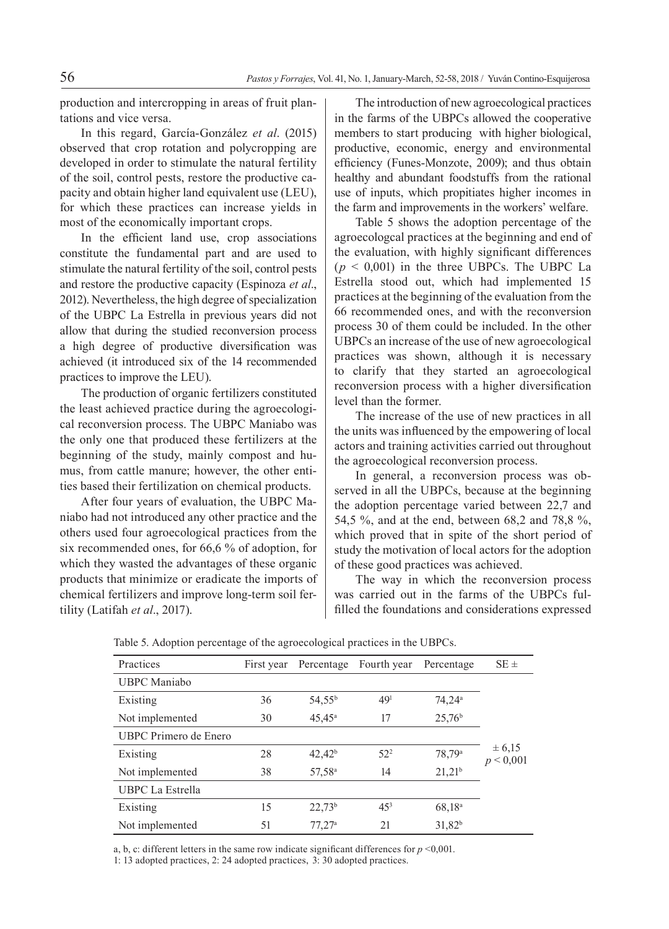production and intercropping in areas of fruit plantations and vice versa.

In this regard, García-González *et al*. (2015) observed that crop rotation and polycropping are developed in order to stimulate the natural fertility of the soil, control pests, restore the productive capacity and obtain higher land equivalent use (LEU), for which these practices can increase yields in most of the economically important crops.

In the efficient land use, crop associations constitute the fundamental part and are used to stimulate the natural fertility of the soil, control pests and restore the productive capacity (Espinoza *et al*., 2012). Nevertheless, the high degree of specialization of the UBPC La Estrella in previous years did not allow that during the studied reconversion process a high degree of productive diversification was achieved (it introduced six of the 14 recommended practices to improve the LEU).

The production of organic fertilizers constituted the least achieved practice during the agroecological reconversion process. The UBPC Maniabo was the only one that produced these fertilizers at the beginning of the study, mainly compost and humus, from cattle manure; however, the other entities based their fertilization on chemical products.

After four years of evaluation, the UBPC Maniabo had not introduced any other practice and the others used four agroecological practices from the six recommended ones, for 66,6 % of adoption, for which they wasted the advantages of these organic products that minimize or eradicate the imports of chemical fertilizers and improve long-term soil fertility (Latifah *et al*., 2017).

The introduction of new agroecological practices in the farms of the UBPCs allowed the cooperative members to start producing with higher biological, productive, economic, energy and environmental efficiency (Funes-Monzote, 2009); and thus obtain healthy and abundant foodstuffs from the rational use of inputs, which propitiates higher incomes in the farm and improvements in the workers' welfare.

Table 5 shows the adoption percentage of the agroecologcal practices at the beginning and end of the evaluation, with highly significant differences  $(p < 0.001)$  in the three UBPCs. The UBPC La Estrella stood out, which had implemented 15 practices at the beginning of the evaluation from the 66 recommended ones, and with the reconversion process 30 of them could be included. In the other UBPCs an increase of the use of new agroecological practices was shown, although it is necessary to clarify that they started an agroecological reconversion process with a higher diversification level than the former.

The increase of the use of new practices in all the units was influenced by the empowering of local actors and training activities carried out throughout the agroecological reconversion process.

In general, a reconversion process was observed in all the UBPCs, because at the beginning the adoption percentage varied between 22,7 and 54,5 %, and at the end, between 68,2 and 78,8 %, which proved that in spite of the short period of study the motivation of local actors for the adoption of these good practices was achieved.

The way in which the reconversion process was carried out in the farms of the UBPCs fulfilled the foundations and considerations expressed

| Practices               | First year | Percentage         | Fourth year     | Percentage           | $SE \pm$                |
|-------------------------|------------|--------------------|-----------------|----------------------|-------------------------|
| <b>UBPC</b> Maniabo     |            |                    |                 |                      |                         |
| Existing                | 36         | $54,55^{\rm b}$    | 49 <sup>1</sup> | $74.24$ <sup>a</sup> |                         |
| Not implemented         | 30         | $45.45^a$          | 17              | 25.76 <sup>b</sup>   |                         |
| UBPC Primero de Enero   |            |                    |                 |                      |                         |
| Existing                | 28         | $42,42^b$          | $52^{2}$        | 78,79 <sup>a</sup>   | $\pm 6,15$<br>p < 0,001 |
| Not implemented         | 38         | 57,58 <sup>a</sup> | 14              | $21,21^b$            |                         |
| <b>UBPC</b> La Estrella |            |                    |                 |                      |                         |
| Existing                | 15         | $22,73^b$          | $45^{3}$        | 68,18 <sup>a</sup>   |                         |
| Not implemented         | 51         | 77.27a             | 21              | $31,82^{b}$          |                         |

Table 5. Adoption percentage of the agroecological practices in the UBPCs.

a, b, c: different letters in the same row indicate significant differences for  $p \le 0.001$ .

1: 13 adopted practices, 2: 24 adopted practices, 3: 30 adopted practices.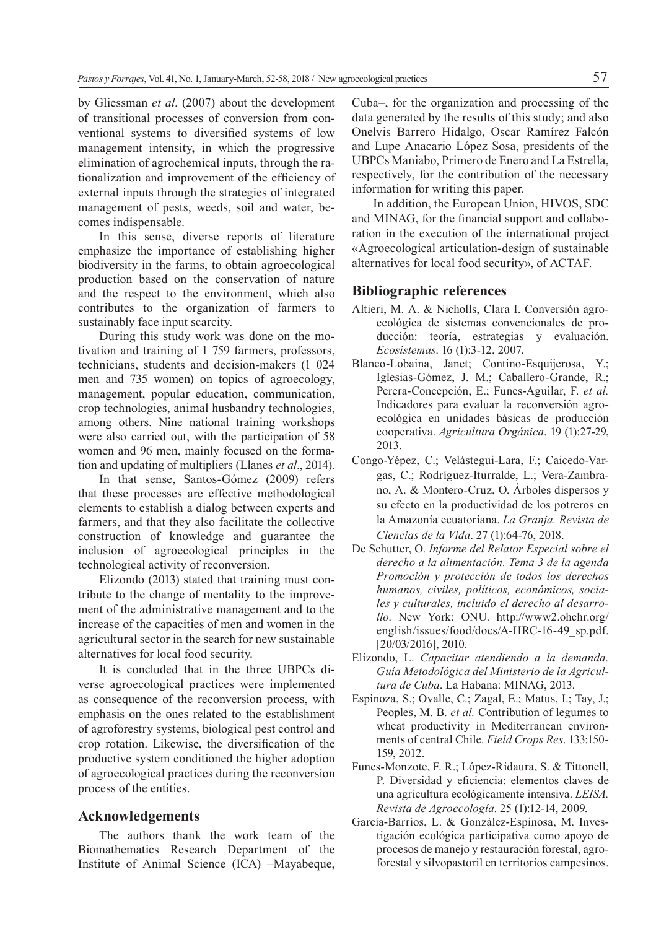by Gliessman *et al*. (2007) about the development of transitional processes of conversion from conventional systems to diversified systems of low management intensity, in which the progressive elimination of agrochemical inputs, through the rationalization and improvement of the efficiency of external inputs through the strategies of integrated management of pests, weeds, soil and water, becomes indispensable.

In this sense, diverse reports of literature emphasize the importance of establishing higher biodiversity in the farms, to obtain agroecological production based on the conservation of nature and the respect to the environment, which also contributes to the organization of farmers to sustainably face input scarcity.

During this study work was done on the motivation and training of 1 759 farmers, professors, technicians, students and decision-makers (1 024 men and 735 women) on topics of agroecology, management, popular education, communication, crop technologies, animal husbandry technologies, among others. Nine national training workshops were also carried out, with the participation of 58 women and 96 men, mainly focused on the formation and updating of multipliers (Llanes *et al*., 2014).

In that sense, Santos-Gómez (2009) refers that these processes are effective methodological elements to establish a dialog between experts and farmers, and that they also facilitate the collective construction of knowledge and guarantee the inclusion of agroecological principles in the technological activity of reconversion.

Elizondo (2013) stated that training must contribute to the change of mentality to the improvement of the administrative management and to the increase of the capacities of men and women in the agricultural sector in the search for new sustainable alternatives for local food security.

It is concluded that in the three UBPCs diverse agroecological practices were implemented as consequence of the reconversion process, with emphasis on the ones related to the establishment of agroforestry systems, biological pest control and crop rotation. Likewise, the diversification of the productive system conditioned the higher adoption of agroecological practices during the reconversion process of the entities.

## **Acknowledgements**

The authors thank the work team of the Biomathematics Research Department of the Institute of Animal Science (ICA) –Mayabeque,

Cuba–, for the organization and processing of the data generated by the results of this study; and also Onelvis Barrero Hidalgo, Oscar Ramírez Falcón and Lupe Anacario López Sosa, presidents of the UBPCs Maniabo, Primero de Enero and La Estrella, respectively, for the contribution of the necessary information for writing this paper.

In addition, the European Union, HIVOS, SDC and MINAG, for the financial support and collaboration in the execution of the international project «Agroecological articulation-design of sustainable alternatives for local food security», of ACTAF.

## **Bibliographic references**

- Altieri, M. A. & Nicholls, Clara I. Conversión agroecológica de sistemas convencionales de producción: teoría, estrategias y evaluación. *Ecosistemas*. 16 (1):3-12, 2007.
- Blanco-Lobaina, Janet; Contino-Esquijerosa, Y.; Iglesias-Gómez, J. M.; Caballero-Grande, R.; Perera-Concepción, E.; Funes-Aguilar, F. *et al.* Indicadores para evaluar la reconversión agroecológica en unidades básicas de producción cooperativa. *Agricultura Orgánica*. 19 (1):27-29, 2013.
- Congo-Yépez, C.; Velástegui-Lara, F.; Caicedo-Vargas, C.; Rodríguez-Iturralde, L.; Vera-Zambrano, A. & Montero-Cruz, O. Árboles dispersos y su efecto en la productividad de los potreros en la Amazonía ecuatoriana. *La Granja. Revista de Ciencias de la Vida*. 27 (1):64-76, 2018.
- De Schutter, O. *Informe del Relator Especial sobre el derecho a la alimentación. Tema 3 de la agenda Promoción y protección de todos los derechos humanos, civiles, políticos, económicos, sociales y culturales, incluido el derecho al desarrollo*. New York: ONU. http://www2.ohchr.org/ english/issues/food/docs/A-HRC-16-49\_sp.pdf. [20/03/2016], 2010.
- Elizondo, L. *Capacitar atendiendo a la demanda. Guía Metodológica del Ministerio de la Agricultura de Cuba*. La Habana: MINAG, 2013.
- Espinoza, S.; Ovalle, C.; Zagal, E.; Matus, I.; Tay, J.; Peoples, M. B. *et al.* Contribution of legumes to wheat productivity in Mediterranean environments of central Chile. *Field Crops Res*. 133:150- 159, 2012.
- Funes-Monzote, F. R.; López-Ridaura, S. & Tittonell, P. Diversidad y eficiencia: elementos claves de una agricultura ecológicamente intensiva. *LEISA. Revista de Agroecología*. 25 (1):12-14, 2009.
- García-Barrios, L. & González-Espinosa, M. Investigación ecológica participativa como apoyo de procesos de manejo y restauración forestal, agroforestal y silvopastoril en territorios campesinos.